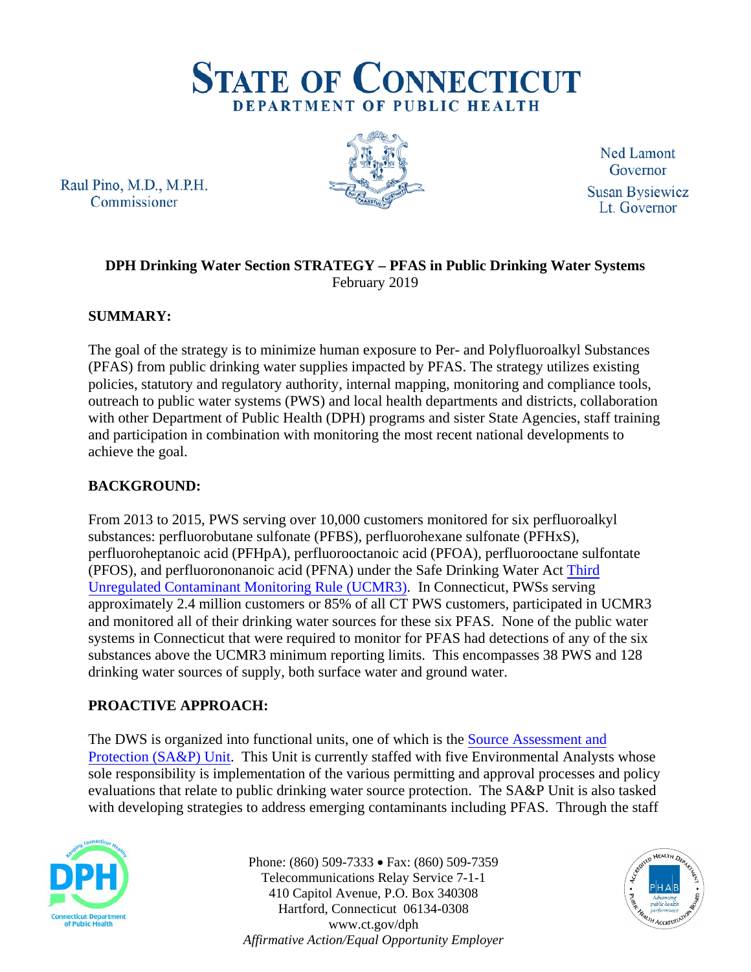

Raul Pino, M.D., M.P.H. Commissioner



Ned Lamont Governor **Susan Bysiewicz** Lt. Governor

## **DPH Drinking Water Section STRATEGY – PFAS in Public Drinking Water Systems** February 2019

# **SUMMARY:**

The goal of the strategy is to minimize human exposure to Per- and Polyfluoroalkyl Substances (PFAS) from public drinking water supplies impacted by PFAS. The strategy utilizes existing policies, statutory and regulatory authority, internal mapping, monitoring and compliance tools, outreach to public water systems (PWS) and local health departments and districts, collaboration with other Department of Public Health (DPH) programs and sister State Agencies, staff training and participation in combination with monitoring the most recent national developments to achieve the goal.

# **BACKGROUND:**

From 2013 to 2015, PWS serving over 10,000 customers monitored for six perfluoroalkyl substances: perfluorobutane sulfonate (PFBS), perfluorohexane sulfonate (PFHxS), perfluoroheptanoic acid (PFHpA), perfluorooctanoic acid (PFOA), perfluorooctane sulfontate (PFOS), and perfluorononanoic acid (PFNA) under the Safe Drinking Water Act [Third](https://www.epa.gov/dwucmr/third-unregulated-contaminant-monitoring-rule)  [Unregulated Contaminant Monitoring Rule \(UCMR3\).](https://www.epa.gov/dwucmr/third-unregulated-contaminant-monitoring-rule) In Connecticut, PWSs serving approximately 2.4 million customers or 85% of all CT PWS customers, participated in UCMR3 and monitored all of their drinking water sources for these six PFAS. None of the public water systems in Connecticut that were required to monitor for PFAS had detections of any of the six substances above the UCMR3 minimum reporting limits. This encompasses 38 PWS and 128 drinking water sources of supply, both surface water and ground water.

# **PROACTIVE APPROACH:**

The DWS is organized into functional units, one of which is the [Source Assessment](https://portal.ct.gov/DPH/Drinking-Water/DWS/Source-Water-Assessment-and-Protection) and [Protection \(SA&P\) Unit.](https://portal.ct.gov/DPH/Drinking-Water/DWS/Source-Water-Assessment-and-Protection) This Unit is currently staffed with five Environmental Analysts whose sole responsibility is implementation of the various permitting and approval processes and policy evaluations that relate to public drinking water source protection. The SA&P Unit is also tasked with developing strategies to address emerging contaminants including PFAS. Through the staff



Phone: (860) 509-7333 • Fax: (860) 509-7359 Telecommunications Relay Service 7-1-1 410 Capitol Avenue, P.O. Box 340308 Hartford, Connecticut 06134-0308 www.ct.gov/dph *Affirmative Action/Equal Opportunity Employer*

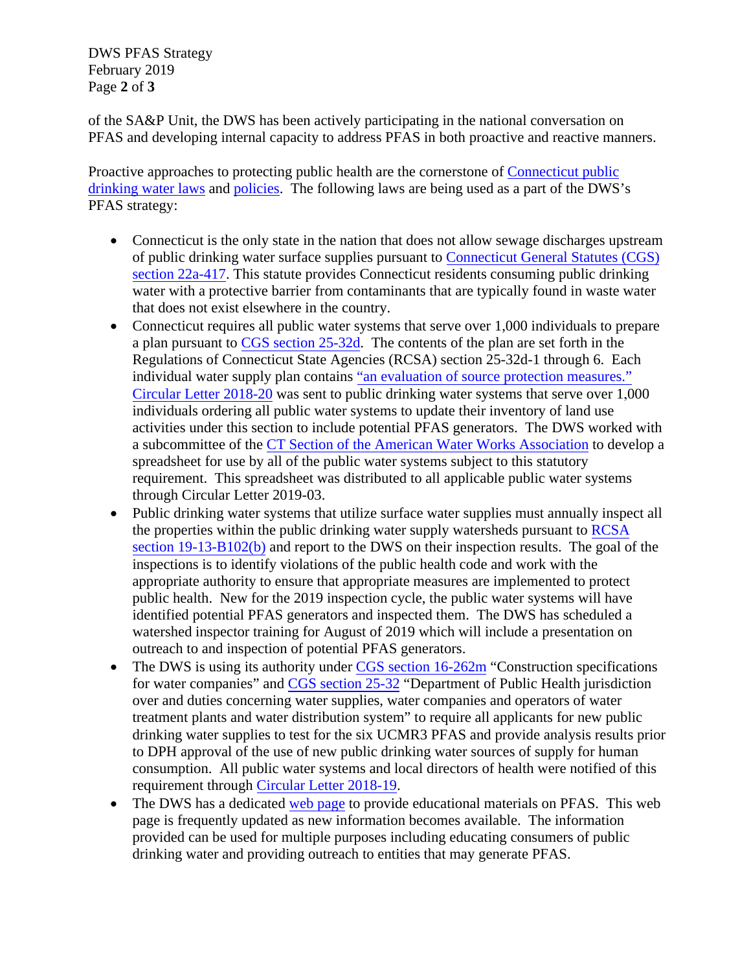DWS PFAS Strategy February 2019 Page **2** of **3**

of the SA&P Unit, the DWS has been actively participating in the national conversation on PFAS and developing internal capacity to address PFAS in both proactive and reactive manners.

Proactive approaches to protecting public health are the cornerstone of [Connecticut public](https://portal.ct.gov/-/media/Departments-and-Agencies/DPH/dph/drinking_water/pdf/CTStatutesRegsforProtectionofDWSpdf.pdf?la=en)  [drinking water laws](https://portal.ct.gov/-/media/Departments-and-Agencies/DPH/dph/drinking_water/pdf/CTStatutesRegsforProtectionofDWSpdf.pdf?la=en) and [policies.](https://portal.ct.gov/-/media/OPM/IGP/ORG/cdupdate/20132018FINALCDPLANrevJune2017pdf.pdf?la=en) The following laws are being used as a part of the DWS's PFAS strategy:

- Connecticut is the only state in the nation that does not allow sewage discharges upstream of public drinking water surface supplies pursuant to [Connecticut General](https://www.cga.ct.gov/current/pub/chap_446k.htm#sec_22a-417) Statutes (CGS) [section 22a-417.](https://www.cga.ct.gov/current/pub/chap_446k.htm#sec_22a-417) This statute provides Connecticut residents consuming public drinking water with a protective barrier from contaminants that are typically found in waste water that does not exist elsewhere in the country.
- Connecticut requires all public water systems that serve over 1,000 individuals to prepare a plan pursuant to [CGS section 25-32d.](https://www.cga.ct.gov/current/pub/chap_474.htm#sec_25-32d) The contents of the plan are set forth in the Regulations of Connecticut State Agencies (RCSA) section 25-32d-1 through 6. Each individual water supply plan contains ["an evaluation of source protection measures."](https://eregulations.ct.gov/eRegsPortal/Browse/RCSA/%7BFB1C6880-3C5C-49F4-A04E-03FAE5262CF2%7D) [Circular Letter 2018-20](https://portal.ct.gov/-/media/Departments-and-Agencies/DPH/dph/drinking_water/pdf/DWS-Circular-Letter-2018-20-PFAS-Eval-WSP-Systems.pdf) was sent to public drinking water systems that serve over 1,000 individuals ordering all public water systems to update their inventory of land use activities under this section to include potential PFAS generators. The DWS worked with a subcommittee of the CT Section of the American [Water Works Association](https://ctawwa.org/content.php?page=Source_Water_Protection_Committee) to develop a spreadsheet for use by all of the public water systems subject to this statutory requirement. This spreadsheet was distributed to all applicable public water systems through Circular Letter 2019-03.
- Public drinking water systems that utilize surface water supplies must annually inspect all the properties within the public drinking water supply watersheds pursuant to [RCSA](https://eregulations.ct.gov/eRegsPortal/Browse/RCSA/%7B2D6B6B06-2C2B-473C-9CC8-2C3AE5176549%7D) [section 19-13-B102\(b\)](https://eregulations.ct.gov/eRegsPortal/Browse/RCSA/%7B2D6B6B06-2C2B-473C-9CC8-2C3AE5176549%7D) and report to the DWS on their inspection results. The goal of the inspections is to identify violations of the public health code and work with the appropriate authority to ensure that appropriate measures are implemented to protect public health. New for the 2019 inspection cycle, the public water systems will have identified potential PFAS generators and inspected them. The DWS has scheduled a watershed inspector training for August of 2019 which will include a presentation on outreach to and inspection of potential PFAS generators.
- The DWS is using its authority under [CGS section 16-262m](https://www.cga.ct.gov/current/pub/chap_283.htm#sec_16-262m) "Construction specifications for water companies" and [CGS section 25-32](https://www.cga.ct.gov/current/pub/chap_474.htm#sec_25-32) "Department of Public Health jurisdiction over and duties concerning water supplies, water companies and operators of water treatment plants and water distribution system" to require all applicants for new public drinking water supplies to test for the six UCMR3 PFAS and provide analysis results prior to DPH approval of the use of new public drinking water sources of supply for human consumption. All public water systems and local directors of health were notified of this requirement through Circul[ar Letter 2018-19.](https://portal.ct.gov/-/media/Departments-and-Agencies/DPH/dph/drinking_water/pdf/DWS-Circular-Letter-2018-19-PFAS-UPDATE.pdf)
- The DWS has a dedicated [web page](https://portal.ct.gov/DPH/Drinking-Water/DWS/Per--and-Polyfluoroalkyl-Substances) to provide educational materials on PFAS. This web page is frequently updated as new information becomes available. The information provided can be used for multiple purposes including educating consumers of public drinking water and providing outreach to entities that may generate PFAS.